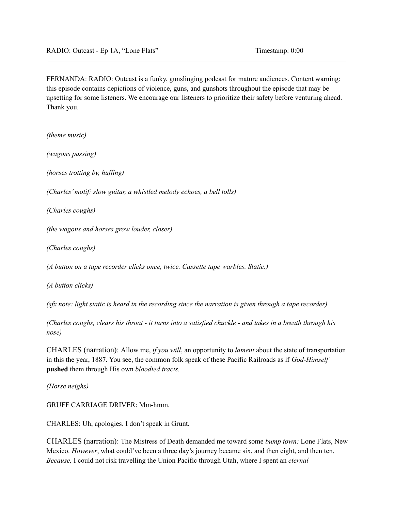FERNANDA: RADIO: Outcast is a funky, gunslinging podcast for mature audiences. Content warning: this episode contains depictions of violence, guns, and gunshots throughout the episode that may be upsetting for some listeners. We encourage our listeners to prioritize their safety before venturing ahead. Thank you.

*(theme music)*

*(wagons passing)*

*(horses trotting by, huf ing)*

*(Charles'motif: slow guitar, a whistled melody echoes, a bell tolls)*

*(Charles coughs)*

*(the wagons and horses grow louder, closer)*

*(Charles coughs)*

*(A button on a tape recorder clicks once, twice. Cassette tape warbles. Static.)*

*(A button clicks)*

(sfx note: light static is heard in the recording since the narration is given through a tape recorder)

(Charles coughs, clears his throat - it turns into a satisfied chuckle - and takes in a breath through his *nose)*

CHARLES (narration): Allow me, *if you will*, an opportunity to *lament* about the state of transportation in this the year, 1887. You see, the common folk speak of these Pacific Railroads as if *God-Himself* **pushed** them through His own *bloodied tracts.*

*(Horse neighs)*

GRUFF CARRIAGE DRIVER: Mm-hmm.

CHARLES: Uh, apologies. I don't speak in Grunt.

CHARLES (narration): The Mistress of Death demanded me toward some *bump town:* Lone Flats, New Mexico. *However*, what could've been a three day's journey became six, and then eight, and then ten. *Because,* I could not risk travelling the Union Pacific through Utah, where I spent an *eternal*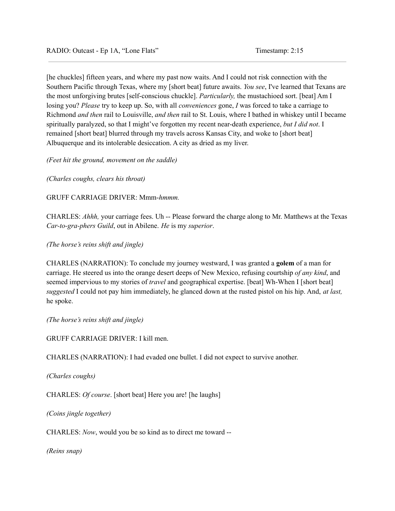[he chuckles] fifteen years, and where my past now waits. And I could not risk connection with the Southern Pacific through Texas, where my [short beat] future awaits. *You see*, I've learned that Texans are the most unforgiving brutes [self-conscious chuckle]. *Particularly,* the mustachioed sort. [beat] Am I losing you? *Please* try to keep up. So, with all *conveniences* gone, *I* was forced to take a carriage to Richmond *and then* rail to Louisville, *and then* rail to St. Louis, where I bathed in whiskey until I became spiritually paralyzed, so that I might've forgotten my recent near-death experience, *but I did not*. I remained [short beat] blurred through my travels across Kansas City, and woke to [short beat] Albuquerque and its intolerable desiccation. A city as dried as my liver.

*(Feet hit the ground, movement on the saddle)*

*(Charles coughs, clears his throat)*

GRUFF CARRIAGE DRIVER: Mmm-*hmmm.*

CHARLES: *Ahhh,* your carriage fees. Uh -- Please forward the charge along to Mr. Matthews at the Texas *Car-to-gra-phers Guild*, out in Abilene. *He* is my *superior*.

*(The horse's reins shift and jingle)*

CHARLES (NARRATION): To conclude my journey westward, I was granted a **golem** of a man for carriage. He steered us into the orange desert deeps of New Mexico, refusing courtship *of any kind*, and seemed impervious to my stories of *travel* and geographical expertise. [beat] Wh-When I [short beat] *suggested* I could not pay him immediately, he glanced down at the rusted pistol on his hip. And, *at last,* he spoke.

*(The horse's reins shift and jingle)*

GRUFF CARRIAGE DRIVER: I kill men.

CHARLES (NARRATION): I had evaded one bullet. I did not expect to survive another.

*(Charles coughs)*

CHARLES: *Of course*. [short beat] Here you are! [he laughs]

*(Coins jingle together)*

CHARLES: *Now*, would you be so kind as to direct me toward --

*(Reins snap)*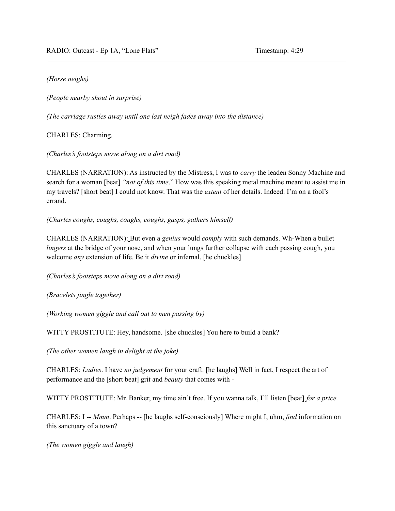RADIO: Outcast - Ep 1A, "Lone Flats" Timestamp: 4:29

# *(Horse neighs)*

*(People nearby shout in surprise)*

*(The carriage rustles away until one last neigh fades away into the distance)*

CHARLES: Charming.

*(Charles's footsteps move along on a dirt road)*

CHARLES (NARRATION): As instructed by the Mistress, I was to *carry* the leaden Sonny Machine and search for a woman [beat] *"not of this time*." How was this speaking metal machine meant to assist me in my travels? [short beat] I could not know. That was the *extent* of her details. Indeed. I'm on a fool's errand.

*(Charles coughs, coughs, coughs, coughs, gasps, gathers himself)*

CHARLES (NARRATION): But even a *genius* would *comply* with such demands. Wh-When a bullet *lingers* at the bridge of your nose, and when your lungs further collapse with each passing cough, you welcome *any* extension of life. Be it *divine* or infernal. [he chuckles]

*(Charles's footsteps move along on a dirt road)*

*(Bracelets jingle together)*

*(Working women giggle and call out to men passing by)*

WITTY PROSTITUTE: Hey, handsome. [she chuckles] You here to build a bank?

*(The other women laugh in delight at the joke)*

CHARLES: *Ladies*. I have *no judgement* for your craft. [he laughs] Well in fact, I respect the art of performance and the [short beat] grit and *beauty* that comes with -

WITTY PROSTITUTE: Mr. Banker, my time ain't free. If you wanna talk, I'll listen [beat] *for a price.*

CHARLES: I -- *Mmm*. Perhaps -- [he laughs self-consciously] Where might I, uhm, *find* information on this sanctuary of a town?

*(The women giggle and laugh)*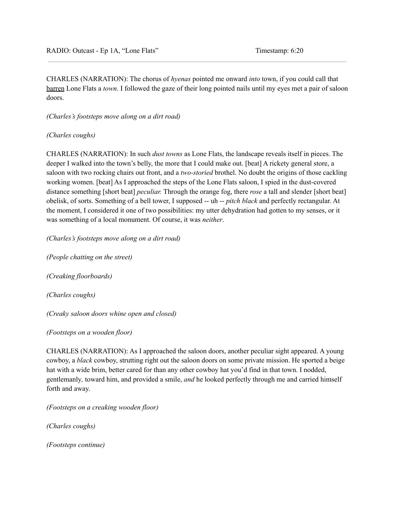CHARLES (NARRATION): The chorus of *hyenas* pointed me onward *into* town, if you could call that barren Lone Flats a *town*. I followed the gaze of their long pointed nails until my eyes met a pair of saloon doors.

*(Charles's footsteps move along on a dirt road)*

*(Charles coughs)*

CHARLES (NARRATION): In such *dust towns* as Lone Flats, the landscape reveals itself in pieces. The deeper I walked into the town's belly, the more that I could make out. [beat] A rickety general store, a saloon with two rocking chairs out front, and a *two-storied* brothel. No doubt the origins of those cackling working women. [beat] As I approached the steps of the Lone Flats saloon, I spied in the dust-covered distance something [short beat] *peculiar.* Through the orange fog, there *rose* a tall and slender [short beat] obelisk, of sorts. Something of a bell tower, I supposed -- uh -- *pitch black* and perfectly rectangular. At the moment, I considered it one of two possibilities: my utter dehydration had gotten to my senses, or it was something of a local monument. Of course, it was *neither*.

*(Charles's footsteps move along on a dirt road)*

*(People chatting on the street) (Creaking floorboards)*

*(Charles coughs)*

*(Creaky saloon doors whine open and closed)*

*(Footsteps on a wooden floor)*

CHARLES (NARRATION): As I approached the saloon doors, another peculiar sight appeared. A young cowboy, a *black* cowboy, strutting right out the saloon doors on some private mission. He sported a beige hat with a wide brim, better cared for than any other cowboy hat you'd find in that town. I nodded, gentlemanly*,* toward him, and provided a smile, *and* he looked perfectly through me and carried himself forth and away.

*(Footsteps on a creaking wooden floor)*

*(Charles coughs)*

*(Footsteps continue)*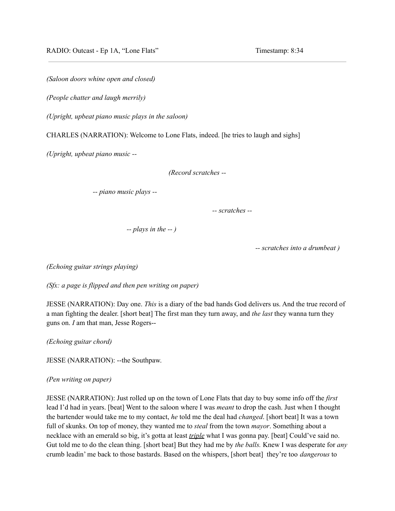*(Saloon doors whine open and closed)*

*(People chatter and laugh merrily)*

*(Upright, upbeat piano music plays in the saloon)*

CHARLES (NARRATION): Welcome to Lone Flats, indeed. [he tries to laugh and sighs]

*(Upright, upbeat piano music --*

*(Record scratches --*

*-- piano music plays --*

*-- scratches --*

*-- plays in the -- )*

*-- scratches into a drumbeat )*

*(Echoing guitar strings playing)*

*(Sfx: a page is flipped and then pen writing on paper)*

JESSE (NARRATION): Day one. *This* is a diary of the bad hands God delivers us. And the true record of a man fighting the dealer. [short beat] The first man they turn away, and *the last* they wanna turn they guns on. *I* am that man, Jesse Rogers--

*(Echoing guitar chord)*

JESSE (NARRATION): --the Southpaw.

#### *(Pen writing on paper)*

JESSE (NARRATION): Just rolled up on the town of Lone Flats that day to buy some info off the *first* lead I'd had in years. [beat] Went to the saloon where I was *meant* to drop the cash. Just when I thought the bartender would take me to my contact, *he* told me the deal had *changed*. [short beat] It was a town full of skunks. On top of money, they wanted me to *steal* from the town *mayor*. Something about a necklace with an emerald so big, it's gotta at least *triple* what I was gonna pay. [beat] Could've said no. Gut told me to do the clean thing. [short beat] But they had me by *the balls.* Knew I was desperate for *any* crumb leadin' me back to those bastards. Based on the whispers, [short beat] they're too *dangerous* to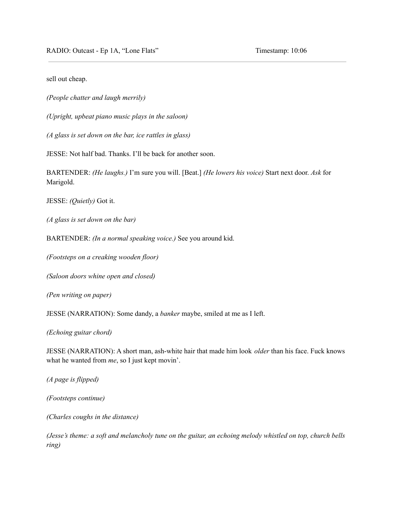RADIO: Outcast - Ep 1A, "Lone Flats" Timestamp: 10:06

sell out cheap.

*(People chatter and laugh merrily)*

*(Upright, upbeat piano music plays in the saloon)*

*(A glass is set down on the bar, ice rattles in glass)*

JESSE: Not half bad. Thanks. I'll be back for another soon.

BARTENDER: *(He laughs.)* I'm sure you will. [Beat.] *(He lowers his voice)* Start next door. *Ask* for Marigold.

JESSE: *(Quietly)* Got it.

*(A glass is set down on the bar)*

BARTENDER: *(In a normal speaking voice.)* See you around kid.

*(Footsteps on a creaking wooden floor)*

*(Saloon doors whine open and closed)*

*(Pen writing on paper)*

JESSE (NARRATION): Some dandy, a *banker* maybe, smiled at me as I left.

*(Echoing guitar chord)*

JESSE (NARRATION): A short man, ash-white hair that made him look *older* than his face. Fuck knows what he wanted from *me*, so I just kept movin'.

*(A page is flipped)*

*(Footsteps continue)*

*(Charles coughs in the distance)*

(Jesse's theme: a soft and melancholy tune on the guitar, an echoing melody whistled on top, church bells *ring)*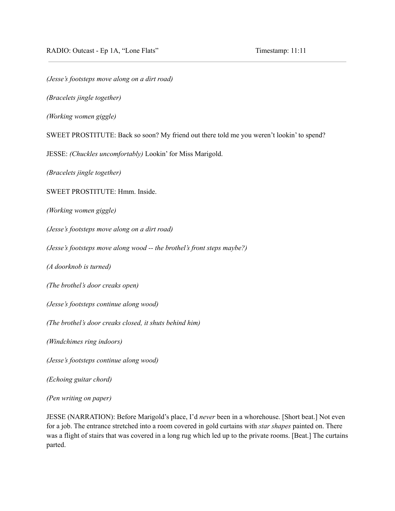*(Jesse's footsteps move along on a dirt road)*

*(Bracelets jingle together)*

*(Working women giggle)*

SWEET PROSTITUTE: Back so soon? My friend out there told me you weren't lookin' to spend?

JESSE: *(Chuckles uncomfortably)* Lookin' for Miss Marigold.

*(Bracelets jingle together)*

SWEET PROSTITUTE: Hmm. Inside.

*(Working women giggle)*

*(Jesse's footsteps move along on a dirt road)*

*(Jesse's footsteps move along wood -- the brothel's front steps maybe?)*

*(A doorknob is turned)*

*(The brothel's door creaks open)*

*(Jesse's footsteps continue along wood)*

*(The brothel's door creaks closed, it shuts behind him)*

*(Windchimes ring indoors)*

*(Jesse's footsteps continue along wood)*

*(Echoing guitar chord)*

*(Pen writing on paper)*

JESSE (NARRATION): Before Marigold's place, I'd *never* been in a whorehouse. [Short beat.] Not even for a job. The entrance stretched into a room covered in gold curtains with *star shapes* painted on. There was a flight of stairs that was covered in a long rug which led up to the private rooms. [Beat.] The curtains parted.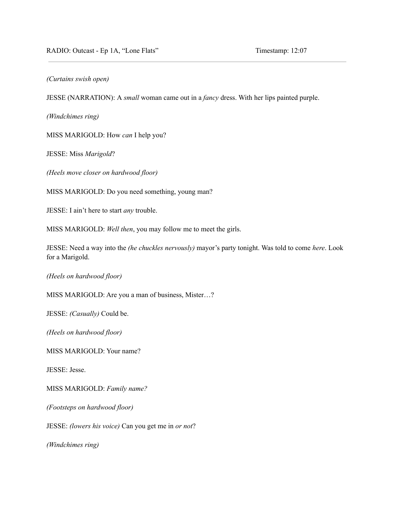*(Curtains swish open)*

JESSE (NARRATION): A *small* woman came out in a *fancy* dress. With her lips painted purple.

*(Windchimes ring)*

MISS MARIGOLD: How *can* I help you?

JESSE: Miss *Marigold*?

*(Heels move closer on hardwood floor)*

MISS MARIGOLD: Do you need something, young man?

JESSE: I ain't here to start *any* trouble.

MISS MARIGOLD: *Well then*, you may follow me to meet the girls.

JESSE: Need a way into the *(he chuckles nervously)* mayor's party tonight. Was told to come *here*. Look for a Marigold.

*(Heels on hardwood floor)*

MISS MARIGOLD: Are you a man of business, Mister…?

JESSE: *(Casually)* Could be.

*(Heels on hardwood floor)*

MISS MARIGOLD: Your name?

JESSE: Jesse.

MISS MARIGOLD: *Family name?*

*(Footsteps on hardwood floor)*

JESSE: *(lowers his voice)* Can you get me in *or not*?

*(Windchimes ring)*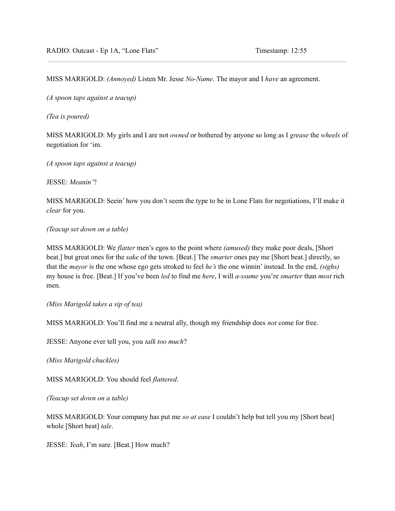MISS MARIGOLD: *(Annoyed)* Listen Mr. Jesse *No-Name*. The mayor and I *have* an agreement.

*(A spoon taps against a teacup)*

*(Tea is poured)*

MISS MARIGOLD: My girls and I are not *owned* or bothered by anyone so long as I *grease* the *wheels* of negotiation for 'im.

*(A spoon taps against a teacup)*

JESSE: *Meanin'*?

MISS MARIGOLD: Seein' how you don't seem the type to be in Lone Flats for negotiations, I'll make it *clear* for you.

*(Teacup set down on a table)*

MISS MARIGOLD: We *flatter* men's egos to the point where *(amused)* they make poor deals, [Short beat.] but great ones for the *sake* of the town. [Beat.] The *smarter* ones pay me [Short beat.] directly, so that the *mayor* is the one whose ego gets stroked to feel *he's* the one winnin' instead. In the end, *(sighs)* my house is free. [Beat.] If you've been *led* to find me *here*, I will *a-ssume* you're *smarter* than *most* rich men.

*(Miss Marigold takes a sip of tea)*

MISS MARIGOLD: You'll find me a neutral ally, though my friendship does *not* come for free.

JESSE: Anyone ever tell you, you *talk too much*?

*(Miss Marigold chuckles)*

MISS MARIGOLD: You should feel *flattered*.

*(Teacup set down on a table)*

MISS MARIGOLD: Your company has put me *so at ease* I couldn't help but tell you my [Short beat] whole [Short beat] *tale*.

JESSE: *Yeah*, I'm sure. [Beat.] How much?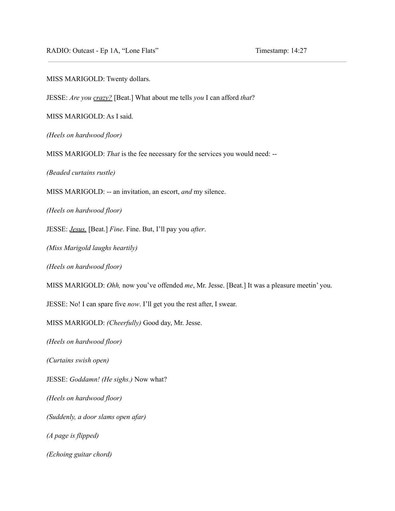RADIO: Outcast - Ep 1A, "Lone Flats" Timestamp: 14:27

MISS MARIGOLD: Twenty dollars.

JESSE: *Are you crazy?* [Beat.] What about me tells *you* I can afford *that*?

MISS MARIGOLD: As I said.

*(Heels on hardwood floor)*

MISS MARIGOLD: *That* is the fee necessary for the services you would need: --

*(Beaded curtains rustle)*

MISS MARIGOLD: -- an invitation, an escort, *and* my silence.

*(Heels on hardwood floor)*

JESSE: *Jesus.* [Beat.] *Fine*. Fine. But, I'll pay you *after*.

*(Miss Marigold laughs heartily)*

*(Heels on hardwood floor)*

MISS MARIGOLD: *Ohh,* now you've offended *me*, Mr. Jesse. [Beat.] It was a pleasure meetin' you.

JESSE: No! I can spare five *now*. I'll get you the rest after, I swear.

MISS MARIGOLD: *(Cheerfully)* Good day, Mr. Jesse.

*(Heels on hardwood floor)*

*(Curtains swish open)*

JESSE: *Goddamn! (He sighs.)* Now what?

*(Heels on hardwood floor)*

*(Suddenly, a door slams open afar)*

*(A page is flipped)*

*(Echoing guitar chord)*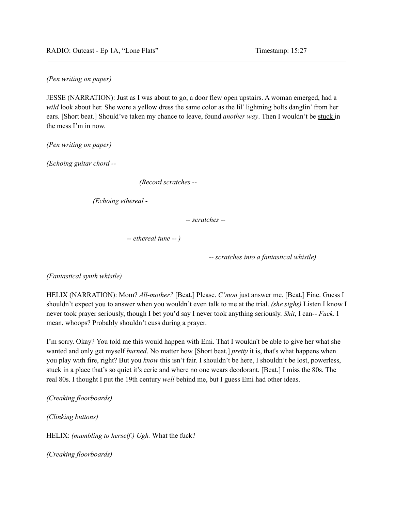RADIO: Outcast - Ep 1A, "Lone Flats" Timestamp: 15:27

*(Pen writing on paper)*

JESSE (NARRATION): Just as I was about to go, a door flew open upstairs. A woman emerged, had a *wild* look about her. She wore a yellow dress the same color as the lil' lightning bolts danglin' from her ears. [Short beat.] Should've taken my chance to leave, found *another way*. Then I wouldn't be stuck in the mess I'm in now.

*(Pen writing on paper)*

*(Echoing guitar chord --*

*(Record scratches --*

*(Echoing ethereal -*

*-- scratches --*

*-- ethereal tune -- )*

*-- scratches into a fantastical whistle)*

*(Fantastical synth whistle)*

HELIX (NARRATION): Mom? *All-mother?* [Beat.] Please. *C'mon* just answer me. [Beat.] Fine. Guess I shouldn't expect you to answer when you wouldn't even talk to me at the trial. *(she sighs)* Listen I know I never took prayer seriously, though I bet you'd say I never took anything seriously. *Shit*, I can-- *Fuck*. I mean, whoops? Probably shouldn't cuss during a prayer.

I'm sorry. Okay? You told me this would happen with Emi. That I wouldn't be able to give her what she wanted and only get myself *burned*. No matter how [Short beat.] *pretty* it is, that's what happens when you play with fire, right? But you *know* this isn't fair. I shouldn't be here, I shouldn't be lost, powerless, stuck in a place that's so quiet it's eerie and where no one wears deodorant. [Beat.] I miss the 80s. The real 80s. I thought I put the 19th century *well* behind me, but I guess Emi had other ideas.

*(Creaking floorboards)*

*(Clinking buttons)*

HELIX: *(mumbling to herself.) Ugh.* What the fuck?

*(Creaking floorboards)*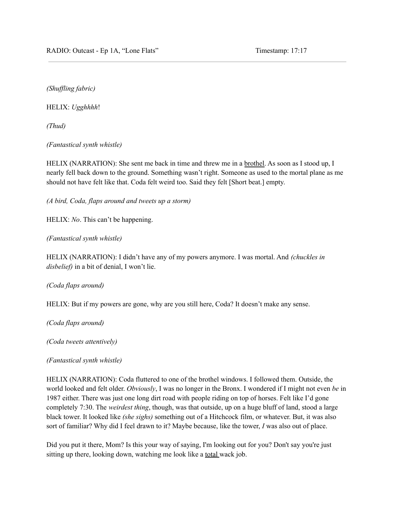*(Shuf ling fabric)*

HELIX: *Ugghhhh*!

*(Thud)*

*(Fantastical synth whistle)*

HELIX (NARRATION): She sent me back in time and threw me in a brothel. As soon as I stood up, I nearly fell back down to the ground. Something wasn't right. Someone as used to the mortal plane as me should not have felt like that. Coda felt weird too. Said they felt [Short beat.] empty.

*(A bird, Coda, flaps around and tweets up a storm)*

HELIX: *No*. This can't be happening.

*(Fantastical synth whistle)*

HELIX (NARRATION): I didn't have any of my powers anymore. I was mortal. And *(chuckles in disbelief)* in a bit of denial, I won't lie.

*(Coda flaps around)*

HELIX: But if my powers are gone, why are you still here, Coda? It doesn't make any sense.

*(Coda flaps around)*

*(Coda tweets attentively)*

*(Fantastical synth whistle)*

HELIX (NARRATION): Coda fluttered to one of the brothel windows. I followed them. Outside, the world looked and felt older. *Obviously*, I was no longer in the Bronx. I wondered if I might not even *be* in 1987 either. There was just one long dirt road with people riding on top of horses. Felt like I'd gone completely 7:30. The *weirdest thing*, though, was that outside, up on a huge bluff of land, stood a large black tower. It looked like *(she sighs)* something out of a Hitchcock film, or whatever. But, it was also sort of familiar? Why did I feel drawn to it? Maybe because, like the tower, *I* was also out of place.

Did you put it there, Mom? Is this your way of saying, I'm looking out for you? Don't say you're just sitting up there, looking down, watching me look like a total wack job.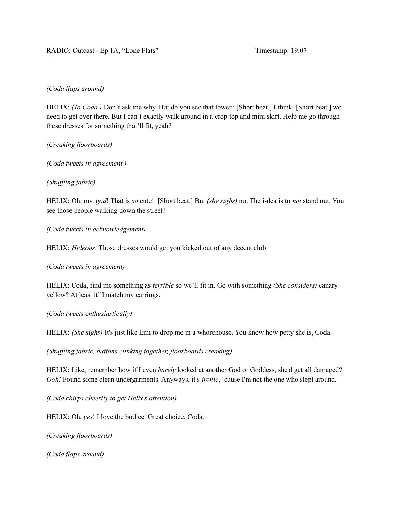# *(Coda flaps around)*

HELIX: *(To Coda.)* Don't ask me why. But do you see that tower? [Short beat.] I think [Short beat.] we need to get over there. But I can't exactly walk around in a crop top and mini skirt. Help me go through these dresses for something that'll fit, yeah?

*(Creaking floorboards)*

*(Coda tweets in agreement.)*

*(Shuf ling fabric)*

HELIX: Oh. my. *god*! That is *so* cute! [Short beat.] But *(she sighs)* no. The i-dea is to *not* stand out. You see those people walking down the street?

*(Coda tweets in acknowledgement)*

HELIX: *Hideous*. Those dresses would get you kicked out of any decent club.

*(Coda tweets in agreement)*

HELIX: Coda, find me something as *terrible* so we'll fit in. Go with something *(She considers)* canary yellow? At least it'll match my earrings.

*(Coda tweets enthusiastically)*

HELIX: *(She sighs)* It's just like Emi to drop me in a whorehouse. You know how petty she is, Coda.

*(Shuf ling fabric, buttons clinking together, floorboards creaking)*

HELIX: Like, remember how if I even *barely* looked at another God or Goddess, she'd get all damaged? *Ooh!* Found some clean undergarments. Anyways, it's *ironic*, 'cause I'm not the one who slept around.

*(Coda chirps cheerily to get Helix's attention)*

HELIX: Oh, *yes*! I love the bodice. Great choice, Coda.

*(Creaking floorboards)*

*(Coda flaps around)*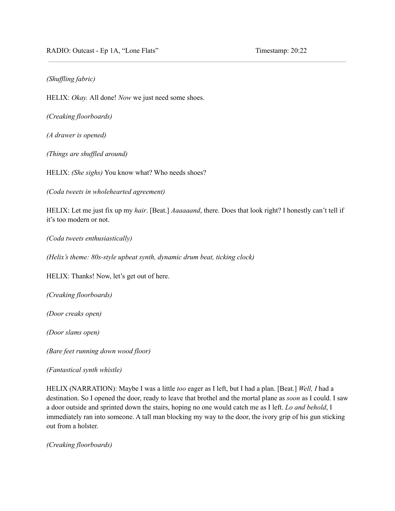### *(Shuf ling fabric)*

HELIX: *Okay.* All done! *Now* we just need some shoes.

*(Creaking floorboards)*

*(A drawer is opened)*

*(Things are shuf led around)*

HELIX: *(She sighs)* You know what? Who needs shoes?

*(Coda tweets in wholehearted agreement)*

HELIX: Let me just fix up my *hair*. [Beat.] *Aaaaaand*, there. Does that look right? I honestly can't tell if it's too modern or not.

*(Coda tweets enthusiastically)*

*(Helix's theme: 80s-style upbeat synth, dynamic drum beat, ticking clock)*

HELIX: Thanks! Now, let's get out of here.

*(Creaking floorboards)*

*(Door creaks open)*

*(Door slams open)*

*(Bare feet running down wood floor)*

*(Fantastical synth whistle)*

HELIX (NARRATION): Maybe I was a little *too* eager as I left, but I had a plan. [Beat.] *Well, I* had a destination. So I opened the door, ready to leave that brothel and the mortal plane as *soon* as I could. I saw a door outside and sprinted down the stairs, hoping no one would catch me as I left. *Lo and behold*, I immediately ran into someone. A tall man blocking my way to the door, the ivory grip of his gun sticking out from a holster.

*(Creaking floorboards)*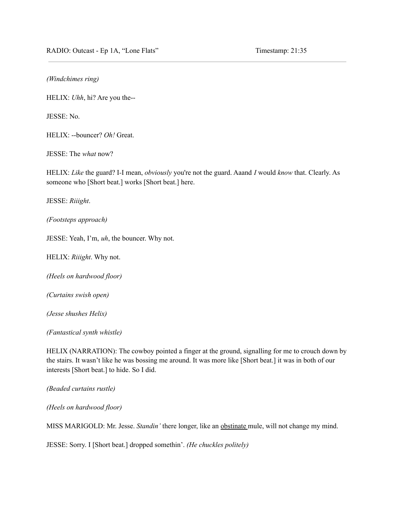*(Windchimes ring)*

HELIX: *Uhh*, hi? Are you the--

JESSE: No.

HELIX: --bouncer? *Oh!* Great.

JESSE: The *what* now?

HELIX: *Like* the guard? I*-*I mean, *obviously* you're not the guard. Aaand *I* would *know* that. Clearly. As someone who [Short beat.] works [Short beat.] here.

JESSE: *Riiight*.

*(Footsteps approach)*

JESSE: Yeah, I'm, *uh*, the bouncer. Why not.

HELIX: *Riiight*. Why not.

*(Heels on hardwood floor)*

*(Curtains swish open)*

*(Jesse shushes Helix)*

*(Fantastical synth whistle)*

HELIX (NARRATION): The cowboy pointed a finger at the ground, signalling for me to crouch down by the stairs. It wasn't like he was bossing me around. It was more like [Short beat.] it was in both of our interests [Short beat.] to hide. So I did.

*(Beaded curtains rustle)*

*(Heels on hardwood floor)*

MISS MARIGOLD: Mr. Jesse. *Standin'* there longer, like an obstinate mule, will not change my mind.

JESSE: Sorry. I [Short beat.] dropped somethin'. *(He chuckles politely)*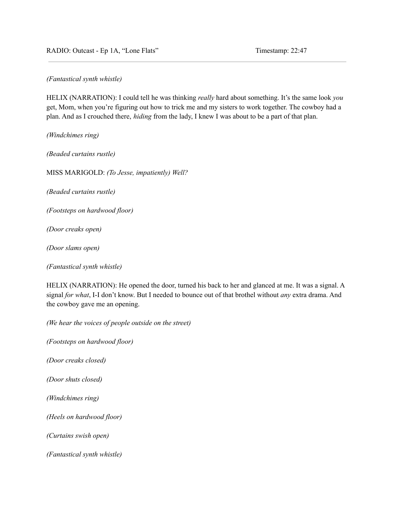RADIO: Outcast - Ep 1A, "Lone Flats" Timestamp: 22:47

*(Fantastical synth whistle)*

HELIX (NARRATION): I could tell he was thinking *really* hard about something. It's the same look *you* get, Mom, when you're figuring out how to trick me and my sisters to work together. The cowboy had a plan. And as I crouched there, *hiding* from the lady, I knew I was about to be a part of that plan.

*(Windchimes ring)*

*(Beaded curtains rustle)*

MISS MARIGOLD: *(To Jesse, impatiently) Well?*

*(Beaded curtains rustle)*

*(Footsteps on hardwood floor)*

*(Door creaks open)*

*(Door slams open)*

*(Fantastical synth whistle)*

HELIX (NARRATION): He opened the door, turned his back to her and glanced at me. It was a signal. A signal *for what*, I-I don't know. But I needed to bounce out of that brothel without *any* extra drama. And the cowboy gave me an opening.

*(We hear the voices of people outside on the street)*

*(Footsteps on hardwood floor)*

*(Door creaks closed)*

*(Door shuts closed)*

*(Windchimes ring)*

*(Heels on hardwood floor)*

*(Curtains swish open)*

*(Fantastical synth whistle)*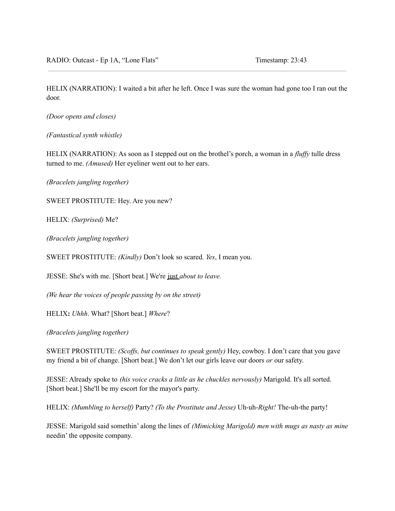HELIX (NARRATION): I waited a bit after he left. Once I was sure the woman had gone too I ran out the door.

*(Door opens and closes)*

*(Fantastical synth whistle)*

HELIX (NARRATION): As soon as I stepped out on the brothel's porch, a woman in a *fluffy* tulle dress turned to me. *(Amused)* Her eyeliner went out to her ears.

*(Bracelets jangling together)*

SWEET PROSTITUTE: Hey. Are you new?

HELIX: *(Surprised)* Me?

*(Bracelets jangling together)*

SWEET PROSTITUTE: *(Kindly)* Don't look so scared. *Yes*, I mean you.

JESSE: She's with me. [Short beat.] We're just *about to leave.*

*(We hear the voices of people passing by on the street)*

HELIX**:** *Uhhh*. What? [Short beat.] *Where*?

*(Bracelets jangling together)*

SWEET PROSTITUTE: *(Scoffs, but continues to speak gently)* Hey, cowboy. I don't care that you gave my friend a bit of change. [Short beat.] We don't let our girls leave our doors *or* our safety.

JESSE: Already spoke to *(his voice cracks a little as he chuckles nervously)* Marigold. It's all sorted. [Short beat.] She'll be my escort for the mayor's party.

HELIX: *(Mumbling to herself)* Party? *(To the Prostitute and Jesse)* Uh-uh-*Right!* The-uh-the party!

JESSE: Marigold said somethin' along the lines of *(Mimicking Marigold) men with mugs as nasty as mine* needin' the opposite company.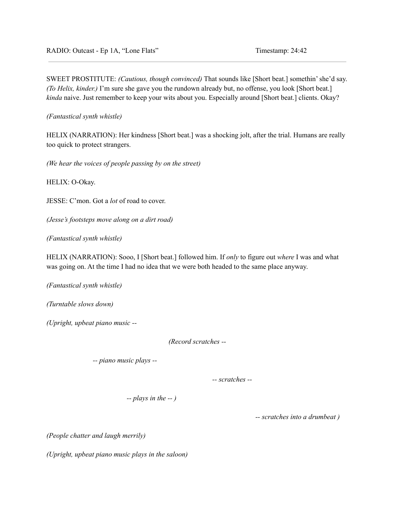SWEET PROSTITUTE: *(Cautious, though convinced)* That sounds like [Short beat.] somethin'she'd say. *(To Helix, kinder.)* I'm sure she gave you the rundown already but, no offense, you look [Short beat.] *kinda* naive. Just remember to keep your wits about you. Especially around [Short beat.] clients. Okay?

*(Fantastical synth whistle)*

HELIX (NARRATION): Her kindness [Short beat.] was a shocking jolt, after the trial. Humans are really too quick to protect strangers.

*(We hear the voices of people passing by on the street)*

HELIX: O-Okay.

JESSE: C'mon. Got a *lot* of road to cover.

*(Jesse's footsteps move along on a dirt road)*

*(Fantastical synth whistle)*

HELIX (NARRATION): Sooo, I [Short beat.] followed him. If *only* to figure out *where* I was and what was going on. At the time I had no idea that we were both headed to the same place anyway.

*(Fantastical synth whistle)*

*(Turntable slows down)*

*(Upright, upbeat piano music --*

*(Record scratches --*

*-- piano music plays --*

*-- scratches --*

*-- plays in the -- )*

*-- scratches into a drumbeat )*

*(People chatter and laugh merrily)*

*(Upright, upbeat piano music plays in the saloon)*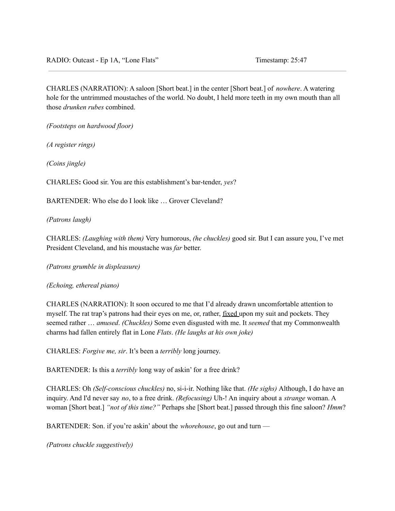CHARLES (NARRATION): A saloon [Short beat.] in the center [Short beat.] of *nowhere*. A watering hole for the untrimmed moustaches of the world. No doubt, I held more teeth in my own mouth than all those *drunken rubes* combined.

*(Footsteps on hardwood floor)*

*(A register rings)*

*(Coins jingle)*

CHARLES**:** Good sir. You are this establishment's bar-tender, *yes*?

BARTENDER: Who else do I look like … Grover Cleveland?

*(Patrons laugh)*

CHARLES: *(Laughing with them)* Very humorous, *(he chuckles)* good sir. But I can assure you, I've met President Cleveland, and his moustache was *far* better.

*(Patrons grumble in displeasure)*

*(Echoing, ethereal piano)*

CHARLES (NARRATION): It soon occured to me that I'd already drawn uncomfortable attention to myself. The rat trap's patrons had their eyes on me, or, rather, fixed upon my suit and pockets. They seemed rather … *amused*. *(Chuckles)* Some even disgusted with me. It *seemed* that my Commonwealth charms had fallen entirely flat in Lone *Flats*. *(He laughs at his own joke)*

CHARLES: *Forgive me, sir*. It's been a *terribly* long journey.

BARTENDER: Is this a *terribly* long way of askin' for a free drink?

CHARLES: Oh *(Self-conscious chuckles)* no, si-i-ir. Nothing like that. *(He sighs)* Although, I do have an inquiry. And I'd never say *no*, to a free drink. *(Refocusing)* Uh-! An inquiry about a *strange* woman. A woman [Short beat.] *"not of this time?"* Perhaps she [Short beat.] passed through this fine saloon? *Hmm*?

BARTENDER: Son. if you're askin' about the *whorehouse*, go out and turn —

*(Patrons chuckle suggestively)*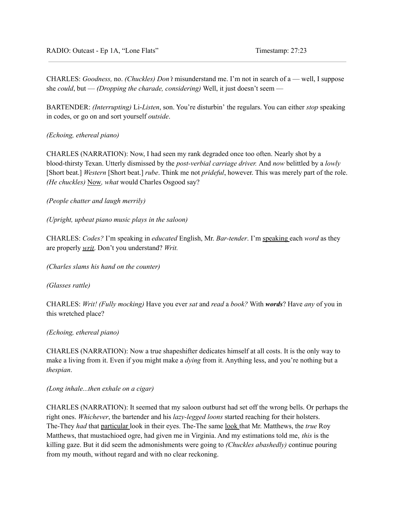CHARLES: *Goodness,* no. *(Chuckles) Don't* misunderstand me. I'm not in search of a — well, I suppose she *could*, but — *(Dropping the charade, considering)* Well, it just doesn't seem —

BARTENDER: *(Interrupting)* Li-*Listen*, son. You're disturbin' the regulars. You can either *stop* speaking in codes, or go on and sort yourself *outside*.

*(Echoing, ethereal piano)*

CHARLES (NARRATION): Now, I had seen my rank degraded once too often. Nearly shot by a blood-thirsty Texan. Utterly dismissed by the *post-verbial carriage driver.* And *now* belittled by a *lowly* [Short beat.] *Western* [Short beat.] *rube*. Think me not *prideful*, however. This was merely part of the role. *(He chuckles)* Now*, what* would Charles Osgood say?

*(People chatter and laugh merrily)*

*(Upright, upbeat piano music plays in the saloon)*

CHARLES: *Codes?* I'm speaking in *educated* English, Mr. *Bar-tender*. I'm speaking each *word* as they are properly *writ*. Don't you understand? *Writ.*

*(Charles slams his hand on the counter)*

*(Glasses rattle)*

CHARLES: *Writ! (Fully mocking)* Have you ever *sat* and *read* a *book?* With *words*? Have *any* of you in this wretched place?

*(Echoing, ethereal piano)*

CHARLES (NARRATION): Now a true shapeshifter dedicates himself at all costs. It is the only way to make a living from it. Even if you might make a *dying* from it. Anything less, and you're nothing but a *thespian*.

*(Long inhale...then exhale on a cigar)*

CHARLES (NARRATION): It seemed that my saloon outburst had set off the wrong bells. Or perhaps the right ones. *Whichever*, the bartender and his *lazy-legged loons* started reaching for their holsters. The-They *had* that particular look in their eyes. The-The same look that Mr. Matthews, the *true* Roy Matthews, that mustachioed ogre, had given me in Virginia. And my estimations told me, *this* is the killing gaze. But it did seem the admonishments were going to *(Chuckles abashedly)* continue pouring from my mouth, without regard and with no clear reckoning.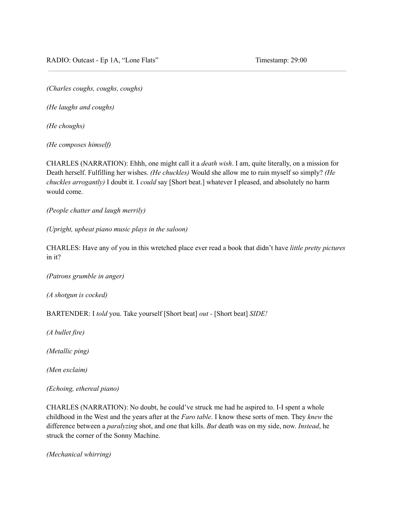*(Charles coughs, coughs, coughs)*

*(He laughs and coughs)*

*(He choughs)*

*(He composes himself)*

CHARLES (NARRATION): Ehhh, one might call it a *death wish*. I am, quite literally, on a mission for Death herself. Fulfilling her wishes. *(He chuckles)* Would she allow me to ruin myself so simply? *(He chuckles arrogantly)* I doubt it. I *could* say [Short beat.] whatever I pleased, and absolutely no harm would come.

*(People chatter and laugh merrily)*

*(Upright, upbeat piano music plays in the saloon)*

CHARLES: Have any of you in this wretched place ever read a book that didn't have *little pretty pictures* in it?

*(Patrons grumble in anger)*

*(A shotgun is cocked)*

BARTENDER: I *told* you. Take yourself [Short beat] *out -* [Short beat] *SIDE!*

*(A bullet fire)*

*(Metallic ping)*

*(Men exclaim)*

*(Echoing, ethereal piano)*

CHARLES (NARRATION): No doubt, he could've struck me had he aspired to. I-I spent a whole childhood in the West and the years after at the *Faro table*. I know these sorts of men. They *knew* the difference between a *paralyzing* shot, and one that kills. *But* death was on my side, now. *Instead*, he struck the corner of the Sonny Machine.

*(Mechanical whirring)*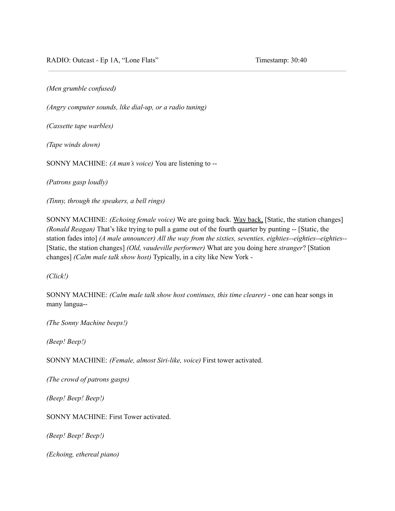*(Men grumble confused)*

*(Angry computer sounds, like dial-up, or a radio tuning)*

*(Cassette tape warbles)*

*(Tape winds down)*

SONNY MACHINE: *(A man's voice)* You are listening to --

*(Patrons gasp loudly)*

*(Tinny, through the speakers, a bell rings)*

SONNY MACHINE: *(Echoing female voice)* We are going back. Way back, [Static, the station changes] *(Ronald Reagan)* That's like trying to pull a game out of the fourth quarter by punting -- [Static, the station fades into] *(A male announcer) All the way from the sixties, seventies, eighties--eighties--eighties--* [Static, the station changes] *(Old, vaudeville performer)* What are you doing here *stranger*? [Station changes] *(Calm male talk show host)* Typically, in a city like New York -

*(Click!)*

SONNY MACHINE: *(Calm male talk show host continues, this time clearer)* - one can hear songs in many langua--

*(The Sonny Machine beeps!)*

*(Beep! Beep!)*

SONNY MACHINE: *(Female, almost Siri-like, voice)* First tower activated.

*(The crowd of patrons gasps)*

*(Beep! Beep! Beep!)*

SONNY MACHINE: First Tower activated.

*(Beep! Beep! Beep!)*

*(Echoing, ethereal piano)*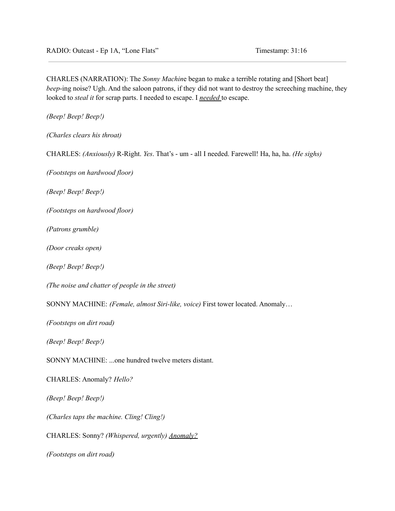CHARLES (NARRATION): The *Sonny Machin*e began to make a terrible rotating and [Short beat] *beep*-ing noise? Ugh. And the saloon patrons, if they did not want to destroy the screeching machine, they looked to *steal it* for scrap parts. I needed to escape. I *needed* to escape.

*(Beep! Beep! Beep!)*

*(Charles clears his throat)*

CHARLES: *(Anxiously)* R-Right. *Yes*. That's - um - all I needed. Farewell! Ha, ha, ha. *(He sighs)*

*(Footsteps on hardwood floor)*

*(Beep! Beep! Beep!)*

*(Footsteps on hardwood floor)*

*(Patrons grumble)*

*(Door creaks open)*

*(Beep! Beep! Beep!)*

*(The noise and chatter of people in the street)*

SONNY MACHINE: *(Female, almost Siri-like, voice)* First tower located. Anomaly…

*(Footsteps on dirt road)*

*(Beep! Beep! Beep!)*

SONNY MACHINE: ...one hundred twelve meters distant.

CHARLES: Anomaly? *Hello?*

*(Beep! Beep! Beep!)*

*(Charles taps the machine. Cling! Cling!)*

CHARLES: Sonny? *(Whispered, urgently) Anomaly?*

*(Footsteps on dirt road)*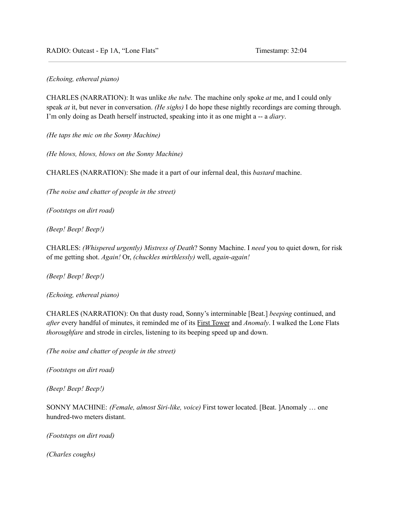*(Echoing, ethereal piano)*

CHARLES (NARRATION): It was unlike *the tube.* The machine only spoke *at* me, and I could only speak *at* it, but never in conversation. *(He sighs)* I do hope these nightly recordings are coming through. I'm only doing as Death herself instructed, speaking into it as one might a -- a *diary*.

*(He taps the mic on the Sonny Machine)*

*(He blows, blows, blows on the Sonny Machine)*

CHARLES (NARRATION): She made it a part of our infernal deal, this *bastard* machine.

*(The noise and chatter of people in the street)*

*(Footsteps on dirt road)*

*(Beep! Beep! Beep!)*

CHARLES: *(Whispered urgently) Mistress of Death*? Sonny Machine. I *need* you to quiet down, for risk of me getting shot. *Again!* Or, *(chuckles mirthlessly)* well, *again-again!*

*(Beep! Beep! Beep!)*

*(Echoing, ethereal piano)*

CHARLES (NARRATION): On that dusty road, Sonny's interminable [Beat.] *beeping* continued, and *after* every handful of minutes, it reminded me of its First Tower and *Anomaly*. I walked the Lone Flats *thoroughfare* and strode in circles, listening to its beeping speed up and down.

*(The noise and chatter of people in the street)*

*(Footsteps on dirt road)*

*(Beep! Beep! Beep!)*

SONNY MACHINE: *(Female, almost Siri-like, voice)* First tower located. [Beat. ]Anomaly … one hundred-two meters distant.

*(Footsteps on dirt road)*

*(Charles coughs)*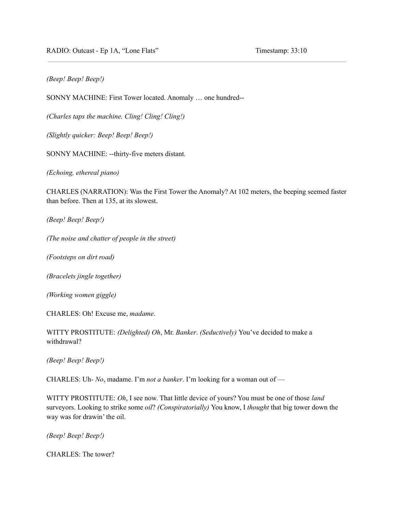RADIO: Outcast - Ep 1A, "Lone Flats" Timestamp: 33:10

# *(Beep! Beep! Beep!)*

SONNY MACHINE: First Tower located. Anomaly … one hundred--

*(Charles taps the machine. Cling! Cling! Cling!)*

*(Slightly quicker: Beep! Beep! Beep!)*

SONNY MACHINE: --thirty-five meters distant.

*(Echoing, ethereal piano)*

CHARLES (NARRATION): Was the First Tower the Anomaly? At 102 meters, the beeping seemed faster than before. Then at 135, at its slowest.

*(Beep! Beep! Beep!)*

*(The noise and chatter of people in the street)*

*(Footsteps on dirt road)*

*(Bracelets jingle together)*

*(Working women giggle)*

CHARLES: Oh! Excuse me, *madame*.

WITTY PROSTITUTE: *(Delighted) Oh*, Mr. *Banker*. *(Seductively)* You've decided to make a withdrawal?

*(Beep! Beep! Beep!)*

CHARLES: Uh- *No*, madame. I'm *not a banker*. I'm looking for a woman out of —

WITTY PROSTITUTE: *Oh*, I see now. That little device of yours? You must be one of those *land* surveyors. Looking to strike some *oil*? *(Conspiratorially)* You know, I *thought* that big tower down the way was for drawin' the oil.

*(Beep! Beep! Beep!)*

CHARLES: The tower?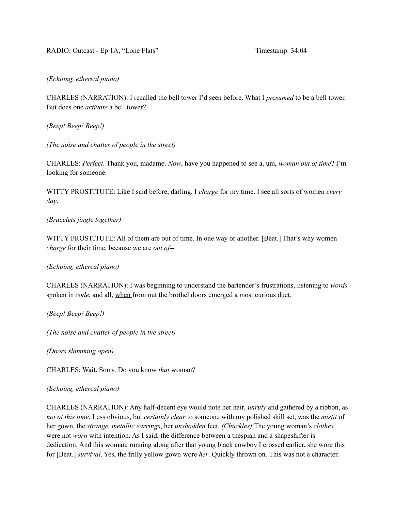RADIO: Outcast - Ep 1A, "Lone Flats" Timestamp: 34:04

*(Echoing, ethereal piano)*

CHARLES (NARRATION): I recalled the bell tower I'd seen before. What I *presumed* to be a bell tower. But does one *activate* a bell tower?

*(Beep! Beep! Beep!)*

*(The noise and chatter of people in the street)*

CHARLES: *Perfect*. Thank you, madame. *Now*, have you happened to see a, um, *woman out of time*? I'm looking for someone.

WITTY PROSTITUTE: Like I said before, darling. I *charge* for my time. I see all sorts of women *every day*.

#### *(Bracelets jingle together)*

WITTY PROSTITUTE: All of them are out of time. In one way or another. [Beat.] That's why women *charge* for their time, because we are *out of*--

*(Echoing, ethereal piano)*

CHARLES (NARRATION): I was beginning to understand the bartender's frustrations, listening to *words* spoken in *code*, and all, when from out the brothel doors emerged a most curious duet.

*(Beep! Beep! Beep!)*

*(The noise and chatter of people in the street)*

*(Doors slamming open)*

CHARLES: Wait. Sorry. Do you know *that* woman?

#### *(Echoing, ethereal piano)*

CHARLES (NARRATION): Any half-decent eye would note her hair, *unruly* and gathered by a ribbon, as *not of this time*. Less obvious, but *certainly clear* to someone with my polished skill set, was the *misfit* of her gown, the *strange, metallic earrings*, her *unshodden* feet. *(Chuckles)* The young woman's *clothes* were not *worn* with intention. As I said, the difference between a thespian and a shapeshifter is dedication. And this woman, running along after that young black cowboy I crossed earlier, she wore this for [Beat.] *survival*. Yes, the frilly yellow gown wore *her*. Quickly thrown on. This was not a character.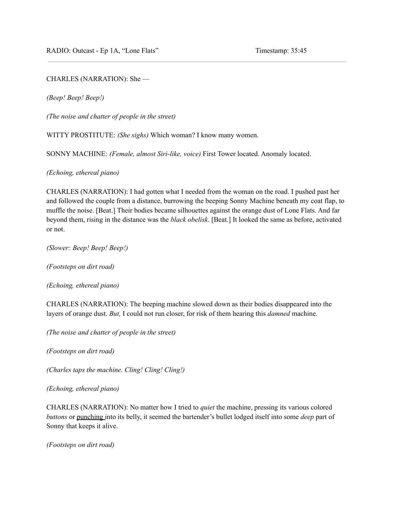### CHARLES (NARRATION): She —

*(Beep! Beep! Beep!)*

*(The noise and chatter of people in the street)*

WITTY PROSTITUTE: *(She sighs)* Which woman? I know many women.

SONNY MACHINE: *(Female, almost Siri-like, voice)* First Tower located. Anomaly located.

*(Echoing, ethereal piano)*

CHARLES (NARRATION): I had gotten what I needed from the woman on the road. I pushed past her and followed the couple from a distance, burrowing the beeping Sonny Machine beneath my coat flap, to muffle the noise. [Beat.] Their bodies became silhouettes against the orange dust of Lone Flats. And far beyond them, rising in the distance was the *black obelisk*. [Beat.] It looked the same as before, activated or not.

*(Slower: Beep! Beep! Beep!)*

*(Footsteps on dirt road)*

*(Echoing, ethereal piano)*

CHARLES (NARRATION): The beeping machine slowed down as their bodies disappeared into the layers of orange dust. *But,* I could not run closer, for risk of them hearing this *damned* machine.

*(The noise and chatter of people in the street)*

*(Footsteps on dirt road)*

*(Charles taps the machine. Cling! Cling! Cling!)*

*(Echoing, ethereal piano)*

CHARLES (NARRATION): No matter how I tried to *quiet* the machine, pressing its various colored *buttons* or punching into its belly, it seemed the bartender's bullet lodged itself into some *deep* part of Sonny that keeps it alive.

*(Footsteps on dirt road)*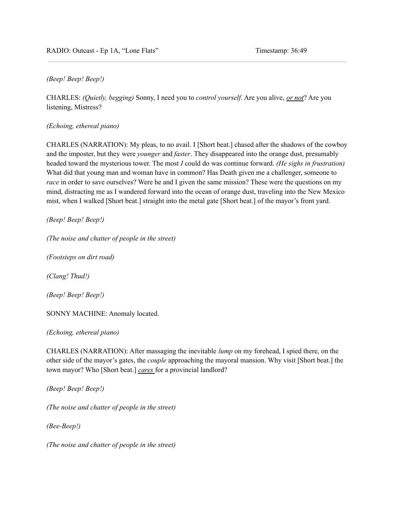### *(Beep! Beep! Beep!)*

CHARLES: *(Quietly, begging)* Sonny, I need you to *control yourself*. Are you alive, *or not*? Are you listening, Mistress?

*(Echoing, ethereal piano)*

CHARLES (NARRATION): My pleas, to no avail. I [Short beat.] chased after the shadows of the cowboy and the imposter, but they were *younger* and *faster*. They disappeared into the orange dust, presumably headed toward the mysterious tower. The most *I* could do was continue forward. *(He sighs in frustration)* What did that young man and woman have in common? Has Death given me a challenger, someone to *race* in order to save ourselves? Were he and I given the same mission? These were the questions on my mind, distracting me as I wandered forward into the ocean of orange dust, traveling into the New Mexico mist, when I walked [Short beat.] straight into the metal gate [Short beat.] of the mayor's front yard.

*(Beep! Beep! Beep!)*

*(The noise and chatter of people in the street)*

*(Footsteps on dirt road)*

*(Clang! Thud!)*

*(Beep! Beep! Beep!)*

SONNY MACHINE: Anomaly located.

*(Echoing, ethereal piano)*

CHARLES (NARRATION): After massaging the inevitable *lump* on my forehead, I spied there, on the other side of the mayor's gates, the *couple* approaching the mayoral mansion. Why visit [Short beat.] the town mayor? Who [Short beat.] *cares* for a provincial landlord?

*(Beep! Beep! Beep!)*

*(The noise and chatter of people in the street)*

*(Bee-Beep!)*

*(The noise and chatter of people in the street)*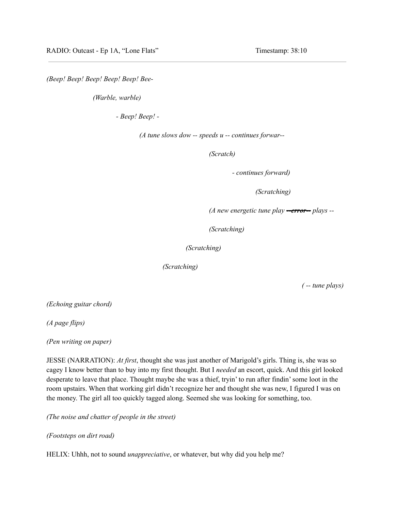*(Beep! Beep! Beep! Beep! Beep! Bee-*

*(Warble, warble)*

*- Beep! Beep! -*

*(A tune slows dow -- speeds u -- continues forwar--*

*(Scratch)*

*- continues forward)*

*(Scratching)*

*(A new energetic tune play --error-- plays --*

*(Scratching)*

*(Scratching)*

*(Scratching)*

*( -- tune plays)*

*(Echoing guitar chord)*

*(A page flips)*

*(Pen writing on paper)*

JESSE (NARRATION): *At first*, thought she was just another of Marigold's girls. Thing is, she was so cagey I know better than to buy into my first thought. But I *needed* an escort, quick. And this girl looked desperate to leave that place. Thought maybe she was a thief, tryin' to run after findin'some loot in the room upstairs. When that working girl didn't recognize her and thought she was new, I figured I was on the money. The girl all too quickly tagged along. Seemed she was looking for something, too.

*(The noise and chatter of people in the street)*

*(Footsteps on dirt road)*

HELIX: Uhhh, not to sound *unappreciative*, or whatever, but why did you help me?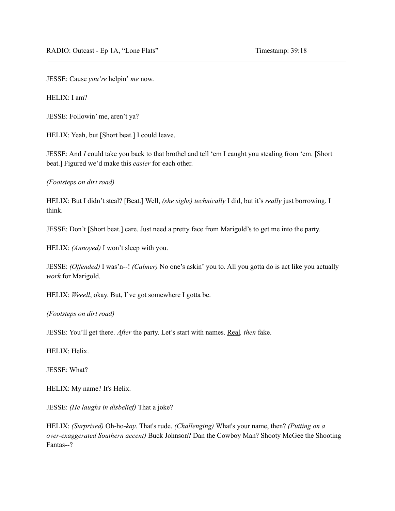JESSE: Cause *you're* helpin' *me* now.

HELIX: I am?

JESSE: Followin' me, aren't ya?

HELIX: Yeah, but [Short beat.] I could leave.

JESSE: And *I* could take you back to that brothel and tell 'em I caught you stealing from 'em. [Short beat.] Figured we'd make this *easier* for each other.

*(Footsteps on dirt road)*

HELIX: But I didn't steal? [Beat.] Well, *(she sighs) technically* I did, but it's *really* just borrowing. I think.

JESSE: Don't [Short beat.] care. Just need a pretty face from Marigold's to get me into the party.

HELIX: *(Annoyed)* I won't sleep with you.

JESSE: *(Offended)* I was'n--! *(Calmer)* No one's askin' you to. All you gotta do is act like you actually *work* for Marigold.

HELIX: *Weeell*, okay. But, I've got somewhere I gotta be.

*(Footsteps on dirt road)*

JESSE: You'll get there. *After* the party. Let's start with names. Real*, then* fake.

HELIX: Helix.

JESSE: What?

HELIX: My name? It's Helix.

JESSE: *(He laughs in disbelief)* That a joke?

HELIX: *(Surprised)* Oh-ho-*kay*. That's rude. *(Challenging)* What's your name, then? *(Putting on a over-exaggerated Southern accent)* Buck Johnson? Dan the Cowboy Man? Shooty McGee the Shooting Fantas--?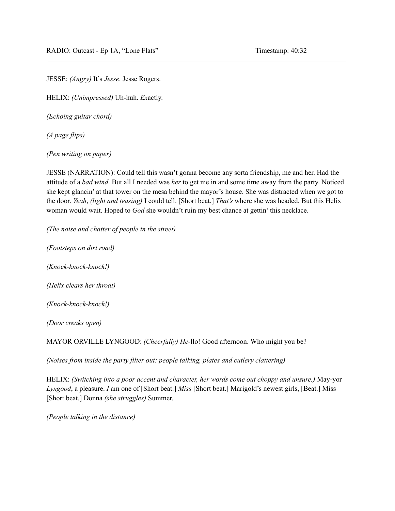JESSE: *(Angry)* It's *Jesse*. Jesse Rogers.

HELIX: *(Unimpressed)* Uh-huh. *Ex*actly.

*(Echoing guitar chord)*

*(A page flips)*

*(Pen writing on paper)*

JESSE (NARRATION): Could tell this wasn't gonna become any sorta friendship, me and her. Had the attitude of a *bad wind*. But all I needed was *her* to get me in and some time away from the party. Noticed she kept glancin' at that tower on the mesa behind the mayor's house. She was distracted when we got to the door. *Yeah*, *(light and teasing)* I could tell. [Short beat.] *That's* where she was headed. But this Helix woman would wait. Hoped to *God* she wouldn't ruin my best chance at gettin' this necklace.

*(The noise and chatter of people in the street)*

*(Footsteps on dirt road) (Knock-knock-knock!)*

*(Helix clears her throat)*

*(Knock-knock-knock!)*

*(Door creaks open)*

MAYOR ORVILLE LYNGOOD: *(Cheerfully) He-*llo! Good afternoon. Who might you be?

*(Noises from inside the party filter out: people talking, plates and cutlery clattering)*

HELIX: *(Switching into a poor accent and character, her words come out choppy and unsure.)* May-yor *Lyngood*, a pleasure. *I* am one of [Short beat.] *Miss* [Short beat.] Marigold's newest girls, [Beat.] Miss [Short beat.] Donna *(she struggles)* Summer.

*(People talking in the distance)*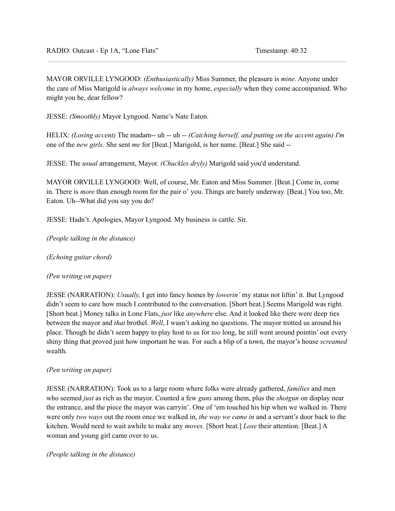MAYOR ORVILLE LYNGOOD: *(Enthusiastically)* Miss Summer, the pleasure is *mine*. Anyone under the care of Miss Marigold is *always welcome* in my home, *especially* when they come accompanied. Who might you be, dear fellow?

JESSE: *(Smoothly)* Mayor Lyngood. Name's Nate Eaton.

HELIX: *(Losing accent)* The madam-- uh -- uh -- *(Catching herself, and putting on the accent again) I'm* one of the *new girls*. She sent *me* for [Beat.] Marigold, is her name. [Beat.] She said --

JESSE: The *usual* arrangement, Mayor. *(Chuckles dryly)* Marigold said you'd understand.

MAYOR ORVILLE LYNGOOD: Well, of course, Mr. Eaton and Miss Summer. [Beat.] Come in, come in. There is *more* than enough room for the pair o' you. Things are barely underway. [Beat.] You too, Mr. Eaton. Uh--What did you say you do?

JESSE: Hadn't. Apologies, Mayor Lyngood. My business is cattle. Sir.

*(People talking in the distance)*

*(Echoing guitar chord)*

*(Pen writing on paper)*

JESSE (NARRATION): *Usually,* I get into fancy homes by *lowerin'* my status not liftin' it. But Lyngood didn't seem to care how much I contributed to the conversation. [Short beat.] Seems Marigold was right. [Short beat.] Money talks in Lone Flats, *just* like *anywhere* else. And it looked like there were deep ties between the mayor and *that* brothel. *Well*, I wasn't asking no questions. The mayor trotted us around his place. Though he didn't seem happy to play host to us for *too* long, he still went around pointin' out every shiny thing that proved just how important he was. For such a blip of a town, the mayor's house *screamed* wealth.

#### *(Pen writing on paper)*

JESSE (NARRATION): Took us to a large room where folks were already gathered, *families* and men who seemed *just* as rich as the mayor. Counted a few *guns* among them, plus the *shotgun* on display near the entrance, and the piece the mayor was carryin'. One of 'em touched his hip when we walked in. There were only *two ways* out the room once we walked in, *the way we came in* and a servant's door back to the kitchen. Would need to wait awhile to make any *moves*. [Short beat.] *Lose* their attention. [Beat.] A woman and young girl came over to us.

*(People talking in the distance)*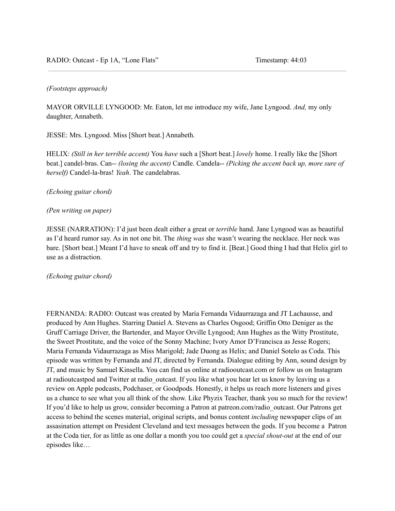### *(Footsteps approach)*

MAYOR ORVILLE LYNGOOD: Mr. Eaton, let me introduce my wife, Jane Lyngood. *And,* my only daughter, Annabeth.

JESSE: Mrs. Lyngood. Miss [Short beat.] Annabeth.

HELIX: *(Still in her terrible accent)* You *have* such a [Short beat.] *lovely* home. I really like the [Short beat.] candel-bras. Can-- *(losing the accent)* Candle. Candela-- *(Picking the accent back up, more sure of herself)* Candel-la-bras! *Yeah*. The candelabras.

#### *(Echoing guitar chord)*

#### *(Pen writing on paper)*

JESSE (NARRATION): I'd just been dealt either a great or *terrible* hand. Jane Lyngood was as beautiful as I'd heard rumor say. As in not one bit. The *thing was* she wasn't wearing the necklace. Her neck was bare. [Short beat.] Meant I'd have to sneak off and try to find it. [Beat.] Good thing I had that Helix girl to use as a distraction.

#### *(Echoing guitar chord)*

FERNANDA: RADIO: Outcast was created by María Fernanda Vidaurrazaga and JT Lachausse, and produced by Ann Hughes. Starring Daniel A. Stevens as Charles Osgood; Griffin Otto Deniger as the Gruff Carriage Driver, the Bartender, and Mayor Orville Lyngood; Ann Hughes as the Witty Prostitute, the Sweet Prostitute, and the voice of the Sonny Machine; Ivory Amor D'Francisca as Jesse Rogers; Maria Fernanda Vidaurrazaga as Miss Marigold; Jade Duong as Helix; and Daniel Sotelo as Coda. This episode was written by Fernanda and JT, directed by Fernanda. Dialogue editing by Ann, sound design by JT, and music by Samuel Kinsella. You can find us online at radiooutcast.com or follow us on Instagram at radioutcastpod and Twitter at radio\_outcast. If you like what you hear let us know by leaving us a review on Apple podcasts, Podchaser, or Goodpods. Honestly, it helps us reach more listeners and gives us a chance to see what you all think of the show. Like Phyzix Teacher, thank you so much for the review! If you'd like to help us grow, consider becoming a Patron at patreon.com/radio\_outcast. Our Patrons get access to behind the scenes material, original scripts, and bonus content *including* newspaper clips of an assasination attempt on President Cleveland and text messages between the gods. If you become a Patron at the Coda tier, for as little as one dollar a month you too could get a *special shout-out* at the end of our episodes like…